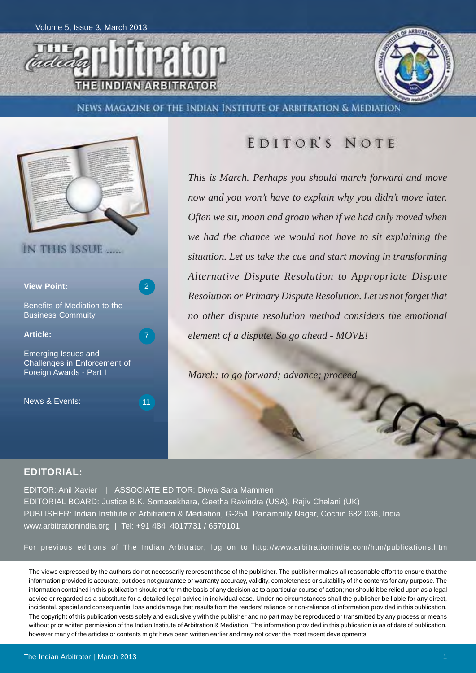



NEWS MAGAZINE OF THE INDIAN INSTITUTE OF ARBITRATION & MEDIATION



## EDITOR'S NOTE

*This is March. Perhaps you should march forward and move now and you won't have to explain why you didn't move later. Often we sit, moan and groan when if we had only moved when we had the chance we would not have to sit explaining the situation. Let us take the cue and start moving in transforming Alternative Dispute Resolution to Appropriate Dispute Resolution or Primary Dispute Resolution. Let us not forget that no other dispute resolution method considers the emotional element of a dispute. So go ahead - MOVE!*

*March: to go forward; advance; proceed*

## **EDITORIAL:**

EDITOR: Anil Xavier | ASSOCIATE EDITOR: Divya Sara Mammen EDITORIAL BOARD: Justice B.K. Somasekhara, Geetha Ravindra (USA), Rajiv Chelani (UK) PUBLISHER: Indian Institute of Arbitration & Mediation, G-254, Panampilly Nagar, Cochin 682 036, India www.arbitrationindia.org | Tel: +91 484 4017731 / 6570101

For previous editions of The Indian Arbitrator, log on to http://www.arbitrationindia.com/htm/publications.htm

The views expressed by the authors do not necessarily represent those of the publisher. The publisher makes all reasonable effort to ensure that the information provided is accurate, but does not guarantee or warranty accuracy, validity, completeness or suitability of the contents for any purpose. The information contained in this publication should not form the basis of any decision as to a particular course of action; nor should it be relied upon as a legal advice or regarded as a substitute for a detailed legal advice in individual case. Under no circumstances shall the publisher be liable for any direct, incidental, special and consequential loss and damage that results from the readers' reliance or non-reliance of information provided in this publication. The copyright of this publication vests solely and exclusively with the publisher and no part may be reproduced or transmitted by any process or means without prior written permission of the Indian Institute of Arbitration & Mediation. The information provided in this publication is as of date of publication, however many of the articles or contents might have been written earlier and may not cover the most recent developments.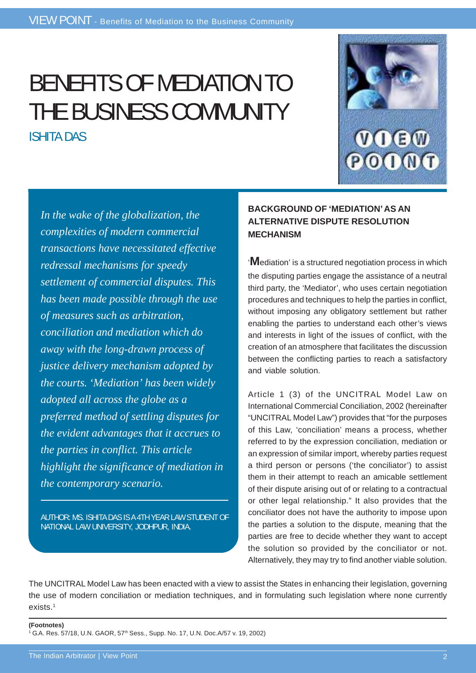## BENEFITS OF MEDIATION TO THE BUSINESS COMMUNITY ISHITA DAS



*In the wake of the globalization, the complexities of modern commercial transactions have necessitated effective redressal mechanisms for speedy settlement of commercial disputes. This has been made possible through the use of measures such as arbitration, conciliation and mediation which do away with the long-drawn process of justice delivery mechanism adopted by the courts. 'Mediation' has been widely adopted all across the globe as a preferred method of settling disputes for the evident advantages that it accrues to the parties in conflict. This article highlight the significance of mediation in the contemporary scenario.*

AUTHOR: MS. ISHITA DAS IS A 4TH YEAR LAW STUDENT OF NATIONAL LAW UNIVERSITY, JODHPUR, INDIA.

## **BACKGROUND OF 'MEDIATION' AS AN ALTERNATIVE DISPUTE RESOLUTION MECHANISM**

'**M**ediation' is a structured negotiation process in which the disputing parties engage the assistance of a neutral third party, the 'Mediator', who uses certain negotiation procedures and techniques to help the parties in conflict, without imposing any obligatory settlement but rather enabling the parties to understand each other's views and interests in light of the issues of conflict, with the creation of an atmosphere that facilitates the discussion between the conflicting parties to reach a satisfactory and viable solution.

Article 1 (3) of the UNCITRAL Model Law on International Commercial Conciliation, 2002 (hereinafter "UNCITRAL Model Law") provides that "for the purposes of this Law, 'conciliation' means a process, whether referred to by the expression conciliation, mediation or an expression of similar import, whereby parties request a third person or persons ('the conciliator') to assist them in their attempt to reach an amicable settlement of their dispute arising out of or relating to a contractual or other legal relationship." It also provides that the conciliator does not have the authority to impose upon the parties a solution to the dispute, meaning that the parties are free to decide whether they want to accept the solution so provided by the conciliator or not. Alternatively, they may try to find another viable solution.

The UNCITRAL Model Law has been enacted with a view to assist the States in enhancing their legislation, governing the use of modern conciliation or mediation techniques, and in formulating such legislation where none currently exists.1

**(Footnotes)**  $1 \overline{1}$  G.A. Res. 57/18, U.N. GAOR, 57<sup>th</sup> Sess., Supp. No. 17, U.N. Doc. A/57 v. 19, 2002)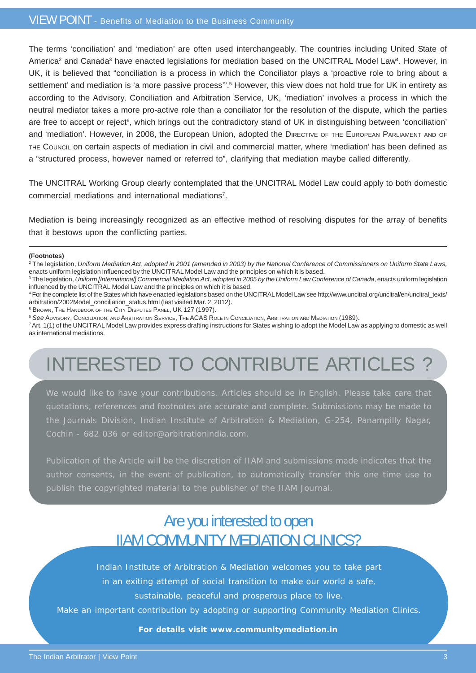The terms 'conciliation' and 'mediation' are often used interchangeably. The countries including United State of America<sup>2</sup> and Canada<sup>3</sup> have enacted legislations for mediation based on the UNCITRAL Model Law<sup>4</sup>. However, in UK, it is believed that "conciliation is a process in which the Conciliator plays a 'proactive role to bring about a settlement' and mediation is 'a more passive process".<sup>5</sup> However, this view does not hold true for UK in entirety as according to the Advisory, Conciliation and Arbitration Service, UK, 'mediation' involves a process in which the neutral mediator takes a more pro-active role than a conciliator for the resolution of the dispute, which the parties are free to accept or reject<sup>6</sup>, which brings out the contradictory stand of UK in distinguishing between 'conciliation' and 'mediation'. However, in 2008, the European Union, adopted the DIRECTIVE OF THE EUROPEAN PARLIAMENT AND OF THE COUNCIL on certain aspects of mediation in civil and commercial matter, where 'mediation' has been defined as a "structured process, however named or referred to", clarifying that mediation maybe called differently.

The UNCITRAL Working Group clearly contemplated that the UNCITRAL Model Law could apply to both domestic commercial mediations and international mediations<sup>7</sup>.

Mediation is being increasingly recognized as an effective method of resolving disputes for the array of benefits that it bestows upon the conflicting parties.

#### **(Footnotes)**

2 The legislation, *Uniform Mediation Act*, *adopted in 2001 (amended in 2003) by the National Conference of Commissioners on Uniform State Laws,* enacts uniform legislation influenced by the UNCITRAL Model Law and the principles on which it is based.

<sup>3</sup> The legislation, *Uniform [International] Commercial Mediation Act, adopted in 2005 by the Uniform Law Conference of Canada, enacts uniform legislation* influenced by the UNCITRAL Model Law and the principles on which it is based.

4 For the complete list of the States which have enacted legislations based on the UNCITRAL Model Law see http://www.uncitral.org/uncitral/en/uncitral\_texts/ arbitration/2002Model\_conciliation\_status.html (last visited Mar. 2, 2012).

5 BROWN, THE HANDBOOK OF THE CITY DISPUTES PANEL, UK 127 (1997).

<sup>6</sup> *See* ADVISORY, CONCILIATION, AND ARBITRATION SERVICE, THE ACAS ROLE IN CONCILIATION, ARBITRATION AND MEDIATION (1989).

7 Art. 1(1) of the UNCITRAL Model Law provides express drafting instructions for States wishing to adopt the Model Law as applying to domestic as well as international mediations.

## INTERESTED TO CONTRIBUTE ARTICLES?

We would like to have your contributions. Articles should be in English. Please take care that quotations, references and footnotes are accurate and complete. Submissions may be made to the Journals Division, Indian Institute of Arbitration & Mediation, G-254, Panampilly Nagar, Cochin - 682 036 or editor@arbitrationindia.com.

Publication of the Article will be the discretion of IIAM and submissions made indicates that the publish the copyrighted material to the publisher of the IIAM Journal.

## Are you interested to open IIAM COMMUNITY MEDIATION CLINICS?

Indian Institute of Arbitration & Mediation welcomes you to take part in an exiting attempt of social transition to make our world a safe, sustainable, peaceful and prosperous place to live.

Make an important contribution by adopting or supporting Community Mediation Clinics.

#### **For details visit www.communitymediation.in**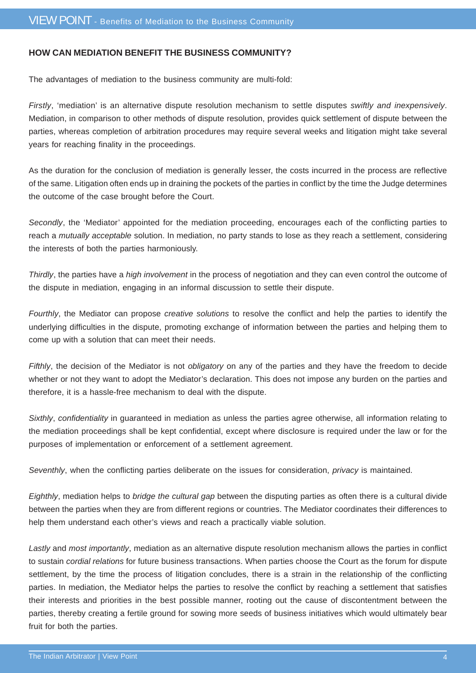### **HOW CAN MEDIATION BENEFIT THE BUSINESS COMMUNITY?**

The advantages of mediation to the business community are multi-fold:

*Firstly*, 'mediation' is an alternative dispute resolution mechanism to settle disputes *swiftly and inexpensively*. Mediation, in comparison to other methods of dispute resolution, provides quick settlement of dispute between the parties, whereas completion of arbitration procedures may require several weeks and litigation might take several years for reaching finality in the proceedings.

As the duration for the conclusion of mediation is generally lesser, the costs incurred in the process are reflective of the same. Litigation often ends up in draining the pockets of the parties in conflict by the time the Judge determines the outcome of the case brought before the Court.

*Secondly*, the 'Mediator' appointed for the mediation proceeding, encourages each of the conflicting parties to reach a *mutually acceptable* solution. In mediation, no party stands to lose as they reach a settlement, considering the interests of both the parties harmoniously.

*Thirdly*, the parties have a *high involvement* in the process of negotiation and they can even control the outcome of the dispute in mediation, engaging in an informal discussion to settle their dispute.

*Fourthly*, the Mediator can propose *creative solutions* to resolve the conflict and help the parties to identify the underlying difficulties in the dispute, promoting exchange of information between the parties and helping them to come up with a solution that can meet their needs.

*Fifthly*, the decision of the Mediator is not *obligatory* on any of the parties and they have the freedom to decide whether or not they want to adopt the Mediator's declaration. This does not impose any burden on the parties and therefore, it is a hassle-free mechanism to deal with the dispute.

*Sixthly*, *confidentiality* in guaranteed in mediation as unless the parties agree otherwise, all information relating to the mediation proceedings shall be kept confidential, except where disclosure is required under the law or for the purposes of implementation or enforcement of a settlement agreement.

*Seventhly*, when the conflicting parties deliberate on the issues for consideration, *privacy* is maintained.

*Eighthly*, mediation helps to *bridge the cultural gap* between the disputing parties as often there is a cultural divide between the parties when they are from different regions or countries. The Mediator coordinates their differences to help them understand each other's views and reach a practically viable solution.

*Lastly* and *most importantly*, mediation as an alternative dispute resolution mechanism allows the parties in conflict to sustain *cordial relations* for future business transactions. When parties choose the Court as the forum for dispute settlement, by the time the process of litigation concludes, there is a strain in the relationship of the conflicting parties. In mediation, the Mediator helps the parties to resolve the conflict by reaching a settlement that satisfies their interests and priorities in the best possible manner, rooting out the cause of discontentment between the parties, thereby creating a fertile ground for sowing more seeds of business initiatives which would ultimately bear fruit for both the parties.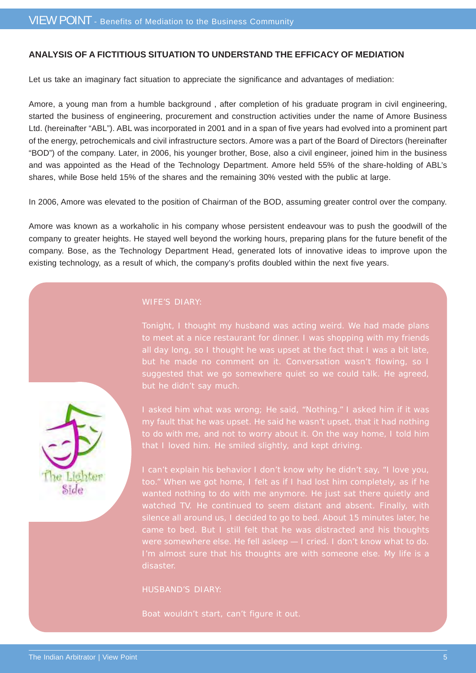### **ANALYSIS OF A FICTITIOUS SITUATION TO UNDERSTAND THE EFFICACY OF MEDIATION**

Let us take an imaginary fact situation to appreciate the significance and advantages of mediation:

Amore, a young man from a humble background , after completion of his graduate program in civil engineering, started the business of engineering, procurement and construction activities under the name of Amore Business Ltd. (hereinafter "ABL"). ABL was incorporated in 2001 and in a span of five years had evolved into a prominent part of the energy, petrochemicals and civil infrastructure sectors. Amore was a part of the Board of Directors (hereinafter "BOD") of the company. Later, in 2006, his younger brother, Bose, also a civil engineer, joined him in the business and was appointed as the Head of the Technology Department. Amore held 55% of the share-holding of ABL's shares, while Bose held 15% of the shares and the remaining 30% vested with the public at large.

In 2006, Amore was elevated to the position of Chairman of the BOD, assuming greater control over the company.

Amore was known as a workaholic in his company whose persistent endeavour was to push the goodwill of the company to greater heights. He stayed well beyond the working hours, preparing plans for the future benefit of the company. Bose, as the Technology Department Head, generated lots of innovative ideas to improve upon the existing technology, as a result of which, the company's profits doubled within the next five years.

#### WIFE'S DIARY:

Tonight, I thought my husband was acting weird. We had made plans to meet at a nice restaurant for dinner. I was shopping with my friends all day long, so I thought he was upset at the fact that I was a bit late, suggested that we go somewhere quiet so we could talk. He agreed,

I asked him what was wrong; He said, "Nothing." I asked him if it was my fault that he was upset. He said he wasn't upset, that it had nothing that I loved him. He smiled slightly, and kept driving.

I can't explain his behavior I don't know why he didn't say, "I love you, too." When we got home, I felt as if I had lost him completely, as if he came to bed. But I still felt that he was distracted and his thoughts I'm almost sure that his thoughts are with someone else. My life is a disaster.

### HUSBAND'S DIARY:

Boat wouldn't start, can't figure it out.

 $Side$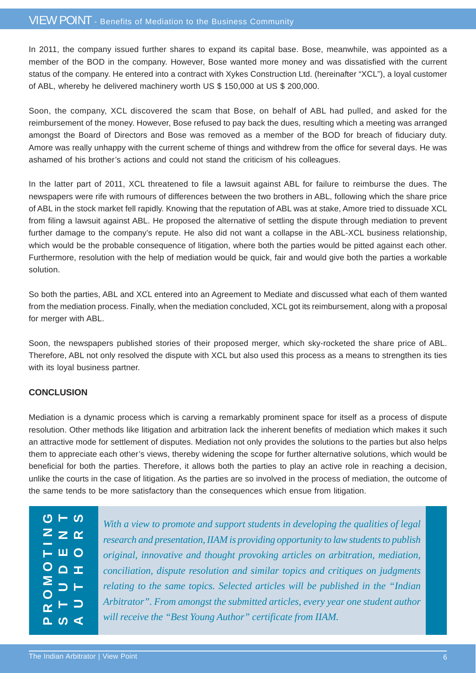In 2011, the company issued further shares to expand its capital base. Bose, meanwhile, was appointed as a member of the BOD in the company. However, Bose wanted more money and was dissatisfied with the current status of the company. He entered into a contract with Xykes Construction Ltd. (hereinafter "XCL"), a loyal customer of ABL, whereby he delivered machinery worth US \$ 150,000 at US \$ 200,000.

Soon, the company, XCL discovered the scam that Bose, on behalf of ABL had pulled, and asked for the reimbursement of the money. However, Bose refused to pay back the dues, resulting which a meeting was arranged amongst the Board of Directors and Bose was removed as a member of the BOD for breach of fiduciary duty. Amore was really unhappy with the current scheme of things and withdrew from the office for several days. He was ashamed of his brother's actions and could not stand the criticism of his colleagues.

In the latter part of 2011, XCL threatened to file a lawsuit against ABL for failure to reimburse the dues. The newspapers were rife with rumours of differences between the two brothers in ABL, following which the share price of ABL in the stock market fell rapidly. Knowing that the reputation of ABL was at stake, Amore tried to dissuade XCL from filing a lawsuit against ABL. He proposed the alternative of settling the dispute through mediation to prevent further damage to the company's repute. He also did not want a collapse in the ABL-XCL business relationship, which would be the probable consequence of litigation, where both the parties would be pitted against each other. Furthermore, resolution with the help of mediation would be quick, fair and would give both the parties a workable solution.

So both the parties, ABL and XCL entered into an Agreement to Mediate and discussed what each of them wanted from the mediation process. Finally, when the mediation concluded, XCL got its reimbursement, along with a proposal for merger with ABL.

Soon, the newspapers published stories of their proposed merger, which sky-rocketed the share price of ABL. Therefore, ABL not only resolved the dispute with XCL but also used this process as a means to strengthen its ties with its loyal business partner.

## **CONCLUSION**

Mediation is a dynamic process which is carving a remarkably prominent space for itself as a process of dispute resolution. Other methods like litigation and arbitration lack the inherent benefits of mediation which makes it such an attractive mode for settlement of disputes. Mediation not only provides the solutions to the parties but also helps them to appreciate each other's views, thereby widening the scope for further alternative solutions, which would be beneficial for both the parties. Therefore, it allows both the parties to play an active role in reaching a decision, unlike the courts in the case of litigation. As the parties are so involved in the process of mediation, the outcome of the same tends to be more satisfactory than the consequences which ensue from litigation.

|                                                  | $\overline{c}$ – $\overline{c}$                    |  |
|--------------------------------------------------|----------------------------------------------------|--|
|                                                  | $Z \geq \alpha$                                    |  |
|                                                  | $\overline{\vdash}$ $\sqcup$ $\overline{\bigcirc}$ |  |
|                                                  | $\circ$ $\circ$ $\pm$                              |  |
| Σ                                                | EF                                                 |  |
| $\overline{\bigcirc}$<br>$\overline{\mathbf{r}}$ | $\vdash$ $\supset$                                 |  |
|                                                  | $\overline{a}$ is $\overline{a}$                   |  |

*With a view to promote and support students in developing the qualities of legal research and presentation, IIAM is providing opportunity to law students to publish original, innovative and thought provoking articles on arbitration, mediation, conciliation, dispute resolution and similar topics and critiques on judgments relating to the same topics. Selected articles will be published in the "Indian Arbitrator". From amongst the submitted articles, every year one student author will receive the "Best Young Author" certificate from IIAM.*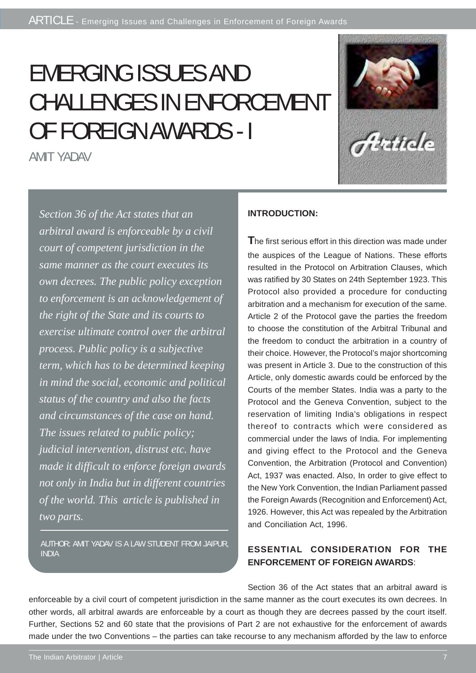# EMERGING ISSUES AND CHALLENGES IN ENFORCEMENT OF FOREIGN AWARDS - I

AMIT YADAV



*Section 36 of the Act states that an arbitral award is enforceable by a civil court of competent jurisdiction in the same manner as the court executes its own decrees. The public policy exception to enforcement is an acknowledgement of the right of the State and its courts to exercise ultimate control over the arbitral process. Public policy is a subjective term, which has to be determined keeping in mind the social, economic and political status of the country and also the facts and circumstances of the case on hand. The issues related to public policy; judicial intervention, distrust etc. have made it difficult to enforce foreign awards not only in India but in different countries of the world. This article is published in two parts.*

AUTHOR: AMIT YADAV IS A LAW STUDENT FROM JAIPUR, INDIA

## **INTRODUCTION:**

**T**he first serious effort in this direction was made under the auspices of the League of Nations. These efforts resulted in the Protocol on Arbitration Clauses, which was ratified by 30 States on 24th September 1923. This Protocol also provided a procedure for conducting arbitration and a mechanism for execution of the same. Article 2 of the Protocol gave the parties the freedom to choose the constitution of the Arbitral Tribunal and the freedom to conduct the arbitration in a country of their choice. However, the Protocol's major shortcoming was present in Article 3. Due to the construction of this Article, only domestic awards could be enforced by the Courts of the member States. India was a party to the Protocol and the Geneva Convention, subject to the reservation of limiting India's obligations in respect thereof to contracts which were considered as commercial under the laws of India. For implementing and giving effect to the Protocol and the Geneva Convention, the Arbitration (Protocol and Convention) Act, 1937 was enacted. Also, In order to give effect to the New York Convention, the Indian Parliament passed the Foreign Awards (Recognition and Enforcement) Act, 1926. However, this Act was repealed by the Arbitration and Conciliation Act, 1996.

## **ESSENTIAL CONSIDERATION FOR THE ENFORCEMENT OF FOREIGN AWARDS**:

Section 36 of the Act states that an arbitral award is enforceable by a civil court of competent jurisdiction in the same manner as the court executes its own decrees. In other words, all arbitral awards are enforceable by a court as though they are decrees passed by the court itself. Further, Sections 52 and 60 state that the provisions of Part 2 are not exhaustive for the enforcement of awards made under the two Conventions – the parties can take recourse to any mechanism afforded by the law to enforce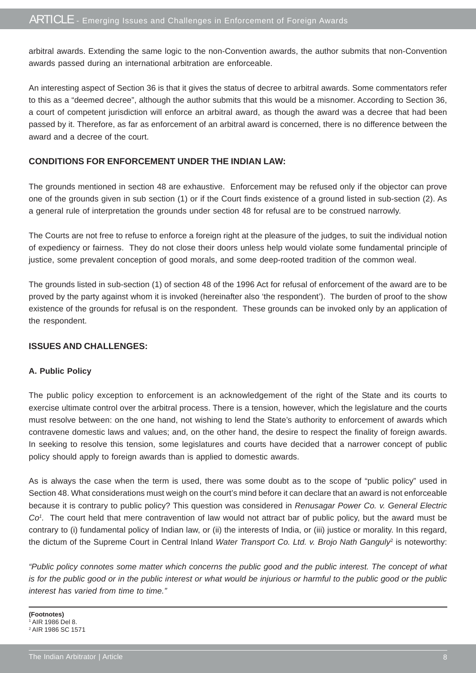arbitral awards. Extending the same logic to the non-Convention awards, the author submits that non-Convention awards passed during an international arbitration are enforceable.

An interesting aspect of Section 36 is that it gives the status of decree to arbitral awards. Some commentators refer to this as a "deemed decree", although the author submits that this would be a misnomer. According to Section 36, a court of competent jurisdiction will enforce an arbitral award, as though the award was a decree that had been passed by it. Therefore, as far as enforcement of an arbitral award is concerned, there is no difference between the award and a decree of the court.

## **CONDITIONS FOR ENFORCEMENT UNDER THE INDIAN LAW:**

The grounds mentioned in section 48 are exhaustive. Enforcement may be refused only if the objector can prove one of the grounds given in sub section (1) or if the Court finds existence of a ground listed in sub-section (2). As a general rule of interpretation the grounds under section 48 for refusal are to be construed narrowly.

The Courts are not free to refuse to enforce a foreign right at the pleasure of the judges, to suit the individual notion of expediency or fairness. They do not close their doors unless help would violate some fundamental principle of justice, some prevalent conception of good morals, and some deep-rooted tradition of the common weal.

The grounds listed in sub-section (1) of section 48 of the 1996 Act for refusal of enforcement of the award are to be proved by the party against whom it is invoked (hereinafter also 'the respondent'). The burden of proof to the show existence of the grounds for refusal is on the respondent. These grounds can be invoked only by an application of the respondent.

### **ISSUES AND CHALLENGES:**

### **A. Public Policy**

The public policy exception to enforcement is an acknowledgement of the right of the State and its courts to exercise ultimate control over the arbitral process. There is a tension, however, which the legislature and the courts must resolve between: on the one hand, not wishing to lend the State's authority to enforcement of awards which contravene domestic laws and values; and, on the other hand, the desire to respect the finality of foreign awards. In seeking to resolve this tension, some legislatures and courts have decided that a narrower concept of public policy should apply to foreign awards than is applied to domestic awards.

As is always the case when the term is used, there was some doubt as to the scope of "public policy" used in Section 48. What considerations must weigh on the court's mind before it can declare that an award is not enforceable because it is contrary to public policy? This question was considered in *Renusagar Power Co. v. General Electric Co1 .* The court held that mere contravention of law would not attract bar of public policy, but the award must be contrary to (i) fundamental policy of Indian law, or (ii) the interests of India, or (iii) justice or morality. In this regard, the dictum of the Supreme Court in Central Inland *Water Transport Co. Ltd. v. Brojo Nath Ganguly*<sup>2</sup> is noteworthy:

*"Public policy connotes some matter which concerns the public good and the public interest. The concept of what is for the public good or in the public interest or what would be injurious or harmful to the public good or the public interest has varied from time to time."*

**(Footnotes)** 1 AIR 1986 Del 8. 2 AIR 1986 SC 1571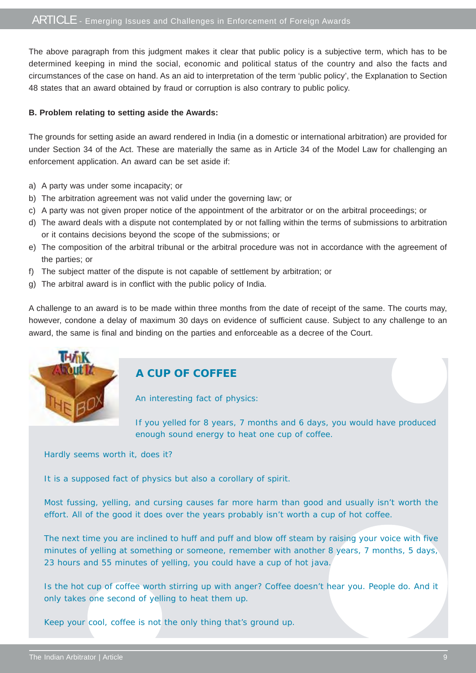The above paragraph from this judgment makes it clear that public policy is a subjective term, which has to be determined keeping in mind the social, economic and political status of the country and also the facts and circumstances of the case on hand. As an aid to interpretation of the term 'public policy', the Explanation to Section 48 states that an award obtained by fraud or corruption is also contrary to public policy.

### **B. Problem relating to setting aside the Awards:**

The grounds for setting aside an award rendered in India (in a domestic or international arbitration) are provided for under Section 34 of the Act. These are materially the same as in Article 34 of the Model Law for challenging an enforcement application. An award can be set aside if:

- a) A party was under some incapacity; or
- b) The arbitration agreement was not valid under the governing law; or
- c) A party was not given proper notice of the appointment of the arbitrator or on the arbitral proceedings; or
- d) The award deals with a dispute not contemplated by or not falling within the terms of submissions to arbitration or it contains decisions beyond the scope of the submissions; or
- e) The composition of the arbitral tribunal or the arbitral procedure was not in accordance with the agreement of the parties; or
- f) The subject matter of the dispute is not capable of settlement by arbitration; or
- g) The arbitral award is in conflict with the public policy of India.

A challenge to an award is to be made within three months from the date of receipt of the same. The courts may, however, condone a delay of maximum 30 days on evidence of sufficient cause. Subject to any challenge to an award, the same is final and binding on the parties and enforceable as a decree of the Court.



## **A CUP OF COFFEE**

An interesting fact of physics:

If you yelled for 8 years, 7 months and 6 days, you would have produced enough sound energy to heat one cup of coffee.

Hardly seems worth it, does it?

It is a supposed fact of physics but also a corollary of spirit.

Most fussing, yelling, and cursing causes far more harm than good and usually isn't worth the effort. All of the good it does over the years probably isn't worth a cup of hot coffee.

The next time you are inclined to huff and puff and blow off steam by raising your voice with five minutes of yelling at something or someone, remember with another 8 years, 7 months, 5 days, 23 hours and 55 minutes of yelling, you could have a cup of hot java.

Is the hot cup of coffee worth stirring up with anger? Coffee doesn't hear you. People do. And it only takes one second of yelling to heat them up.

Keep your cool, coffee is not the only thing that's ground up.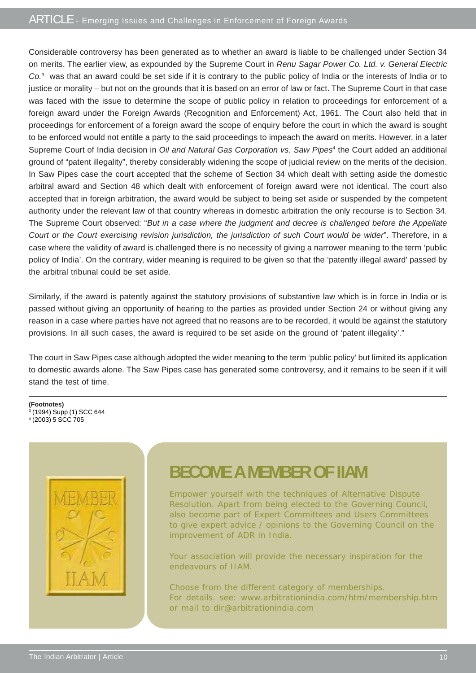Considerable controversy has been generated as to whether an award is liable to be challenged under Section 34 on merits. The earlier view, as expounded by the Supreme Court in *Renu Sagar Power Co. Ltd. v. General Electric Co.*<sup>3</sup> was that an award could be set side if it is contrary to the public policy of India or the interests of India or to justice or morality – but not on the grounds that it is based on an error of law or fact. The Supreme Court in that case was faced with the issue to determine the scope of public policy in relation to proceedings for enforcement of a foreign award under the Foreign Awards (Recognition and Enforcement) Act, 1961. The Court also held that in proceedings for enforcement of a foreign award the scope of enquiry before the court in which the award is sought to be enforced would not entitle a party to the said proceedings to impeach the award on merits. However, in a later Supreme Court of India decision in *Oil and Natural Gas Corporation vs. Saw Pipes<sup>4</sup>* the Court added an additional ground of "patent illegality", thereby considerably widening the scope of judicial review on the merits of the decision. In Saw Pipes case the court accepted that the scheme of Section 34 which dealt with setting aside the domestic arbitral award and Section 48 which dealt with enforcement of foreign award were not identical. The court also accepted that in foreign arbitration, the award would be subject to being set aside or suspended by the competent authority under the relevant law of that country whereas in domestic arbitration the only recourse is to Section 34. The Supreme Court observed: "*But in a case where the judgment and decree is challenged before the Appellate Court or the Court exercising revision jurisdiction, the jurisdiction of such Court would be wider*". Therefore, in a case where the validity of award is challenged there is no necessity of giving a narrower meaning to the term 'public policy of India'. On the contrary, wider meaning is required to be given so that the 'patently illegal award' passed by the arbitral tribunal could be set aside.

Similarly, if the award is patently against the statutory provisions of substantive law which is in force in India or is passed without giving an opportunity of hearing to the parties as provided under Section 24 or without giving any reason in a case where parties have not agreed that no reasons are to be recorded, it would be against the statutory provisions. In all such cases, the award is required to be set aside on the ground of 'patent illegality'."

The court in Saw Pipes case although adopted the wider meaning to the term 'public policy' but limited its application to domestic awards alone. The Saw Pipes case has generated some controversy, and it remains to be seen if it will stand the test of time.

**(Footnotes)**

3 (1994) Supp (1) SCC 644

4 (2003) 5 SCC 705



## **BECOME A MEMBER OF IIAM**

Empower yourself with the techniques of Alternative Dispute Resolution. Apart from being elected to the Governing Council, also become part of Expert Committees and Users Committees to give expert advice / opinions to the Governing Council on the improvement of ADR in India.

Your association will provide the necessary inspiration for the endeavours of IIAM.

Choose from the different category of memberships. For details. see: www.arbitrationindia.com/htm/membership.htm or mail to dir@arbitrationindia.com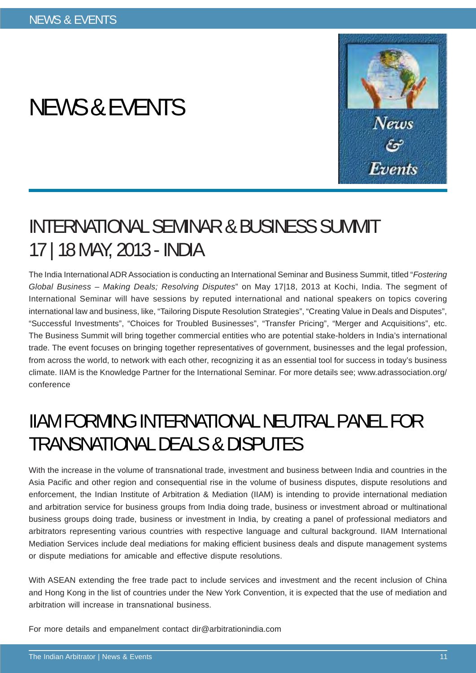# NEWS & EVENTS



## INTERNATIONAL SEMINAR & BUSINESS SUMMIT 17 | 18 MAY, 2013 - INDIA

The India International ADR Association is conducting an International Seminar and Business Summit, titled "*Fostering Global Business – Making Deals; Resolving Disputes*" on May 17|18, 2013 at Kochi, India. The segment of International Seminar will have sessions by reputed international and national speakers on topics covering international law and business, like, "Tailoring Dispute Resolution Strategies", "Creating Value in Deals and Disputes", "Successful Investments", "Choices for Troubled Businesses", "Transfer Pricing", "Merger and Acquisitions", etc. The Business Summit will bring together commercial entities who are potential stake-holders in India's international trade. The event focuses on bringing together representatives of government, businesses and the legal profession, from across the world, to network with each other, recognizing it as an essential tool for success in today's business climate. IIAM is the Knowledge Partner for the International Seminar. For more details see; www.adrassociation.org/ conference

## IIAM FORMING INTERNATIONAL NEUTRAL PANEL FOR TRANSNATIONAL DEALS & DISPUTES

With the increase in the volume of transnational trade, investment and business between India and countries in the Asia Pacific and other region and consequential rise in the volume of business disputes, dispute resolutions and enforcement, the Indian Institute of Arbitration & Mediation (IIAM) is intending to provide international mediation and arbitration service for business groups from India doing trade, business or investment abroad or multinational business groups doing trade, business or investment in India, by creating a panel of professional mediators and arbitrators representing various countries with respective language and cultural background. IIAM International Mediation Services include deal mediations for making efficient business deals and dispute management systems or dispute mediations for amicable and effective dispute resolutions.

With ASEAN extending the free trade pact to include services and investment and the recent inclusion of China and Hong Kong in the list of countries under the New York Convention, it is expected that the use of mediation and arbitration will increase in transnational business.

For more details and empanelment contact dir@arbitrationindia.com